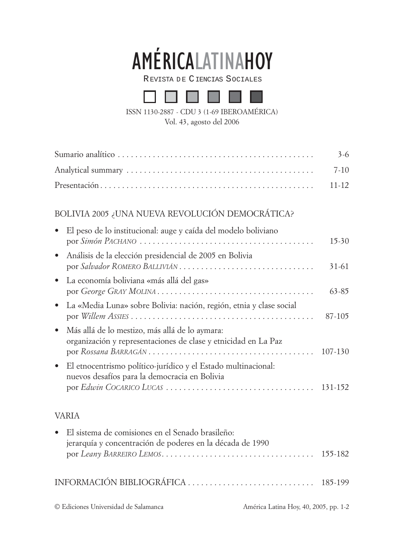

REVISTA DE CIENCIAS SOCIALES



ISSN 1130-2887 - CDU 3 (1-69 IBEROAMÉRICA)

Vol. 43, agosto del 2006

|                                                                                                                               | $3 - 6$     |
|-------------------------------------------------------------------------------------------------------------------------------|-------------|
|                                                                                                                               | $7-10$      |
|                                                                                                                               | $11 - 12$   |
|                                                                                                                               |             |
| BOLIVIA 2005 ¿UNA NUEVA REVOLUCIÓN DEMOCRÁTICA?                                                                               |             |
| El peso de lo institucional: auge y caída del modelo boliviano                                                                | $15-30$     |
| Análisis de la elección presidencial de 2005 en Bolivia<br>$\bullet$                                                          | $31 - 61$   |
| La economía boliviana «más allá del gas»<br>$\bullet$                                                                         | $63 - 85$   |
| La «Media Luna» sobre Bolivia: nación, región, etnia y clase social<br>$\bullet$                                              | 87-105      |
| Más allá de lo mestizo, más allá de lo aymara:<br>$\bullet$<br>organización y representaciones de clase y etnicidad en La Paz | $107 - 130$ |
| El etnocentrismo político-jurídico y el Estado multinacional:<br>$\bullet$<br>nuevos desafíos para la democracia en Bolivia   |             |

rios para la democracia en Bolivia por *Edwin COCARICO LUCAS* . . . . . . . . . . . . . . . . . . . . . . . . . . . . . . . . . . 131-152

## VARIA

| · El sistema de comisiones en el Senado brasileño:        |                                       |  |
|-----------------------------------------------------------|---------------------------------------|--|
| jerarquía y concentración de poderes en la década de 1990 |                                       |  |
|                                                           |                                       |  |
| © Ediciones Universidad de Salamanca                      | América Latina Hoy, 40, 2005, pp. 1-2 |  |